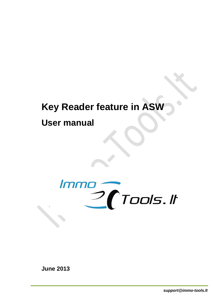# **Key Reader feature in ASW**

**User manual**



**June 2013**

*support@immo-tools.lt*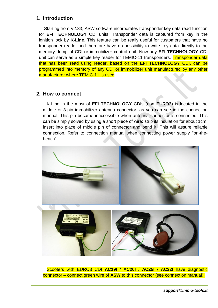#### **1. Introduction**

Starting from V2.83, ASW software incorporates transponder key data read function for **EFI TECHNOLOGY** CDI units. Transponder data is captured from key in the ignition lock by **K-Line**. This feature can be really useful for customers that have no transponder reader and therefore have no possibility to write key data directly to the memory dump of CDI or immobilizer control unit. Now any **EFI TECHNOLOGY** CDI unit can serve as a simple key reader for TEMIC-11 transponders. Transponder data that has been read using reader, based on the **EFI TECHNOLOGY** CDI, can be programmed into memory of any CDI or immobilizer unit manufactured by any other manufacturer where TEMIC-11 is used.

#### **2. How to connect**

K-Line in the most of **EFI TECHNOLOGY** CDIs (non EURO3) is located in the middle of 3-pin immobilizer antenna connector, as you can see in the connection manual. This pin became inaccessible when antenna connector is connected. This can be simply solved by using a short piece of wire: strip its insulation for about 1cm, insert into place of middle pin of connector and bend it. This will assure reliable connection. Refer to connection manual when connecting power supply "on-thebench".



Scooters with EURO3 CDI **AC19I** / **AC20I** / **AC25I** / **AC32I** have diagnostic connector – connect green wire of **ASW** to this connector (see connection manual).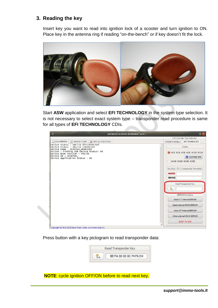## **3. Reading the key**

Insert key you want to read into ignition lock of a scooter and turn ignition to ON. Place key in the antenna ring if reading "on-the-bench" or if key doesn't fit the lock.



Start **ASW** application and select **EFI TECHNOLOGY** in the system type selection. It is not necessary to select exact system type – transponder read procedure is same for all types of **EFI TECHNOLOGY** CDIs.



Press button with a key pictogram to read transponder data:



**NOTE**: cycle ignition OFF/ON before to read next key.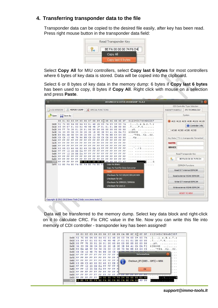## **4. Transferring transponder data to the file**

Transponder data can be copied to the desired file easily, after key has been read. Press right mouse button in the transponder data field:



Select **Copy All** for MIU controllers, select **Copy last 6 bytes** for most controllers where 6 bytes of key data is stored. Data will be copied into the clipboard.

Select 6 or 8 bytes of key data in the memory dump: 6 bytes if **Copy last 6 bytes** has been used to copy, 8 bytes if **Copy All**. Right click with mouse on a selection and press **Paste**.



Data will be transferred to the memory dump. Select key data block and right-click on it to calculate CRC. Fix CRC value in the file. Now you can write this file into memory of CDI controller - transponder key has been assigned!



*support@immo-tools.lt*